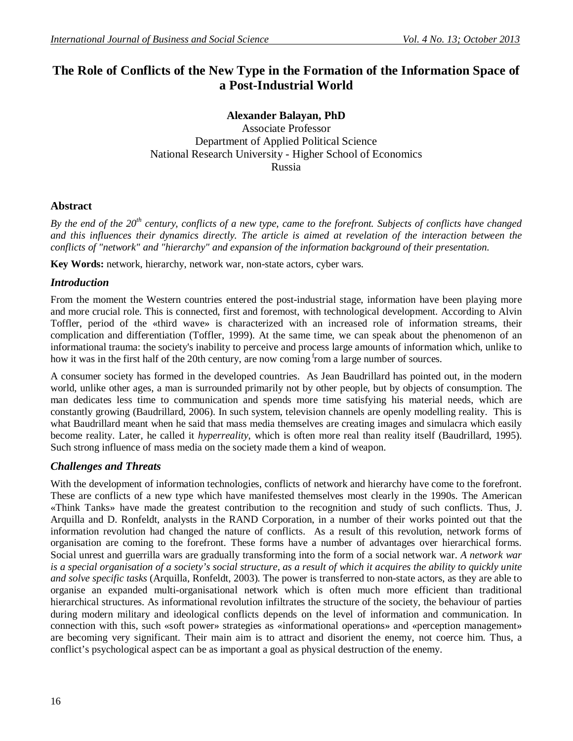# **The Role of Conflicts of the New Type in the Formation of the Information Space of a Post-Industrial World**

**Alexander Balayan, PhD** Associate Professor Department of Applied Political Science National Research University - Higher School of Economics Russia

#### **Abstract**

*By the end of the 20th century, conflicts of a new type, came to the forefront. Subjects of conflicts have changed and this influences their dynamics directly. The article is aimed at revelation of the interaction between the conflicts of "network" and "hierarchy" and expansion of the information background of their presentation.*

**Key Words:** network, hierarchy, network war, non-state actors, cyber wars.

#### *Introduction*

From the moment the Western countries entered the post-industrial stage, information have been playing more and more crucial role. This is connected, first and foremost, with technological development. According to Alvin Toffler, period of the «third wave» is characterized with an increased role of information streams, their complication and differentiation (Toffler, 1999). At the same time, we can speak about the phenomenon of an informational trauma: the society's inability to perceive and process large amounts of information which, unlike to how it was in the first half of the 20th century, are now coming from a large number of sources.

A consumer society has formed in the developed countries. As Jean Baudrillard has pointed out, in the modern world, unlike other ages, a man is surrounded primarily not by other people, but by objects of consumption. The man dedicates less time to communication and spends more time satisfying his material needs, which are constantly growing (Baudrillard, 2006). In such system, television channels are openly modelling reality. This is what Baudrillard meant when he said that mass media themselves are creating images and simulacra which easily become reality. Later, he called it *hyperreality*, which is often more real than reality itself (Baudrillard, 1995). Such strong influence of mass media on the society made them a kind of weapon.

### *Challenges and Threats*

With the development of information technologies, conflicts of network and hierarchy have come to the forefront. These are conflicts of a new type which have manifested themselves most clearly in the 1990s. The American «Think Tanks» have made the greatest contribution to the recognition and study of such conflicts. Thus, J. Arquilla and D. Ronfeldt, analysts in the RAND Corporation, in a number of their works pointed out that the information revolution had changed the nature of conflicts. As a result of this revolution, network forms of organisation are coming to the forefront. These forms have a number of advantages over hierarchical forms. Social unrest and guerrilla wars are gradually transforming into the form of a social network war. *A network war is a special organisation of a society's social structure, as a result of which it acquires the ability to quickly unite and solve specific tasks* (Arquilla, Ronfeldt, 2003)*.* The power is transferred to non-state actors, as they are able to organise an expanded multi-organisational network which is often much more efficient than traditional hierarchical structures. As informational revolution infiltrates the structure of the society, the behaviour of parties during modern military and ideological conflicts depends on the level of information and communication. In connection with this, such «soft power» strategies as «informational operations» and «perception management» are becoming very significant. Their main aim is to attract and disorient the enemy, not coerce him. Thus, a conflict's psychological aspect can be as important a goal as physical destruction of the enemy.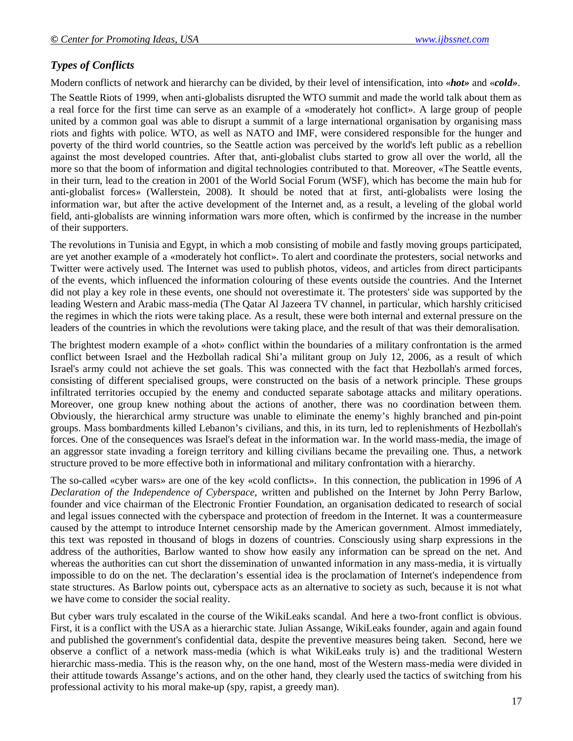## *Types of Conflicts*

Modern conflicts of network and hierarchy can be divided, by their level of intensification, into «*hot»* and «*cold»*.

The Seattle Riots of 1999, when anti-globalists disrupted the WTO summit and made the world talk about them as a real force for the first time can serve as an example of a «moderately hot conflict». A large group of people united by a common goal was able to disrupt a summit of a large international organisation by organising mass riots and fights with police. WTO, as well as NATO and IMF, were considered responsible for the hunger and poverty of the third world countries, so the Seattle action was perceived by the world's left public as a rebellion against the most developed countries. After that, anti-globalist clubs started to grow all over the world, all the more so that the boom of information and digital technologies contributed to that. Moreover, «The Seattle events, in their turn, lead to the creation in 2001 of the World Social Forum (WSF), which has become the main hub for anti-globalist forces» (Wallerstein, 2008). It should be noted that at first, anti-globalists were losing the information war, but after the active development of the Internet and, as a result, a leveling of the global world field, anti-globalists are winning information wars more often, which is confirmed by the increase in the number of their supporters.

The revolutions in Tunisia and Egypt, in which a mob consisting of mobile and fastly moving groups participated, are yet another example of a «moderately hot conflict». To alert and coordinate the protesters, social networks and Twitter were actively used. The Internet was used to publish photos, videos, and articles from direct participants of the events, which influenced the information colouring of these events outside the countries. And the Internet did not play a key role in these events, one should not overestimate it. The protesters' side was supported by the leading Western and Arabic mass-media (The Qatar Al Jazeera TV channel, in particular, which harshly criticised the regimes in which the riots were taking place. As a result, these were both internal and external pressure on the leaders of the countries in which the revolutions were taking place, and the result of that was their demoralisation.

The brightest modern example of a «hot» conflict within the boundaries of a military confrontation is the armed conflict between Israel and the Hezbollah radical Shi'a militant group on July 12, 2006, as a result of which Israel's army could not achieve the set goals. This was connected with the fact that Hezbollah's armed forces, consisting of different specialised groups, were constructed on the basis of a network principle. These groups infiltrated territories occupied by the enemy and conducted separate sabotage attacks and military operations. Moreover, one group knew nothing about the actions of another, there was no coordination between them. Obviously, the hierarchical army structure was unable to eliminate the enemy's highly branched and pin-point groups. Mass bombardments killed Lebanon's civilians, and this, in its turn, led to replenishments of Hezbollah's forces. One of the consequences was Israel's defeat in the information war. In the world mass-media, the image of an aggressor state invading a foreign territory and killing civilians became the prevailing one. Thus, a network structure proved to be more effective both in informational and military confrontation with a hierarchy.

The so-called «cyber wars» are one of the key «cold conflicts». In this connection, the publication in 1996 of *A Declaration of the Independence of Cyberspace*, written and published on the Internet by John Perry Barlow, founder and vice chairman of the Electronic Frontier Foundation, an organisation dedicated to research of social and legal issues connected with the cyberspace and protection of freedom in the Internet. It was a countermeasure caused by the attempt to introduce Internet censorship made by the American government. Almost immediately, this text was reposted in thousand of blogs in dozens of countries. Consciously using sharp expressions in the address of the authorities, Barlow wanted to show how easily any information can be spread on the net. And whereas the authorities can cut short the dissemination of unwanted information in any mass-media, it is virtually impossible to do on the net. The declaration's essential idea is the proclamation of Internet's independence from state structures. As Barlow points out, cyberspace acts as an alternative to society as such, because it is not what we have come to consider the social reality.

But cyber wars truly escalated in the course of the WikiLeaks scandal. And here a two-front conflict is obvious. First, it is a conflict with the USA as a hierarchic state. Julian Assange, WikiLeaks founder, again and again found and published the government's confidential data, despite the preventive measures being taken. Second, here we observe a conflict of a network mass-media (which is what WikiLeaks truly is) and the traditional Western hierarchic mass-media. This is the reason why, on the one hand, most of the Western mass-media were divided in their attitude towards Assange's actions, and on the other hand, they clearly used the tactics of switching from his professional activity to his moral make-up (spy, rapist, a greedy man).